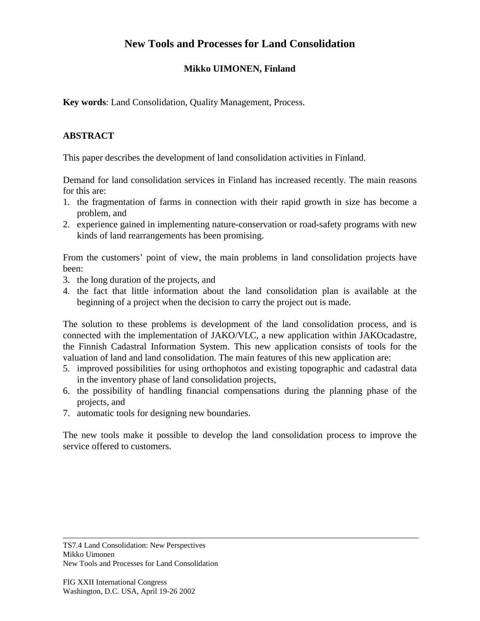## **New Tools and Processes for Land Consolidation**

## **Mikko UIMONEN, Finland**

**Key words**: Land Consolidation, Quality Management, Process.

## **ABSTRACT**

This paper describes the development of land consolidation activities in Finland.

Demand for land consolidation services in Finland has increased recently. The main reasons for this are:

- 1. the fragmentation of farms in connection with their rapid growth in size has become a problem, and
- 2. experience gained in implementing nature-conservation or road-safety programs with new kinds of land rearrangements has been promising.

From the customers' point of view, the main problems in land consolidation projects have been:

- 3. the long duration of the projects, and
- 4. the fact that little information about the land consolidation plan is available at the beginning of a project when the decision to carry the project out is made.

The solution to these problems is development of the land consolidation process, and is connected with the implementation of JAKO/VLC, a new application within JAKOcadastre, the Finnish Cadastral Information System. This new application consists of tools for the valuation of land and land consolidation. The main features of this new application are:

- 5. improved possibilities for using orthophotos and existing topographic and cadastral data in the inventory phase of land consolidation projects,
- 6. the possibility of handling financial compensations during the planning phase of the projects, and
- 7. automatic tools for designing new boundaries.

The new tools make it possible to develop the land consolidation process to improve the service offered to customers.